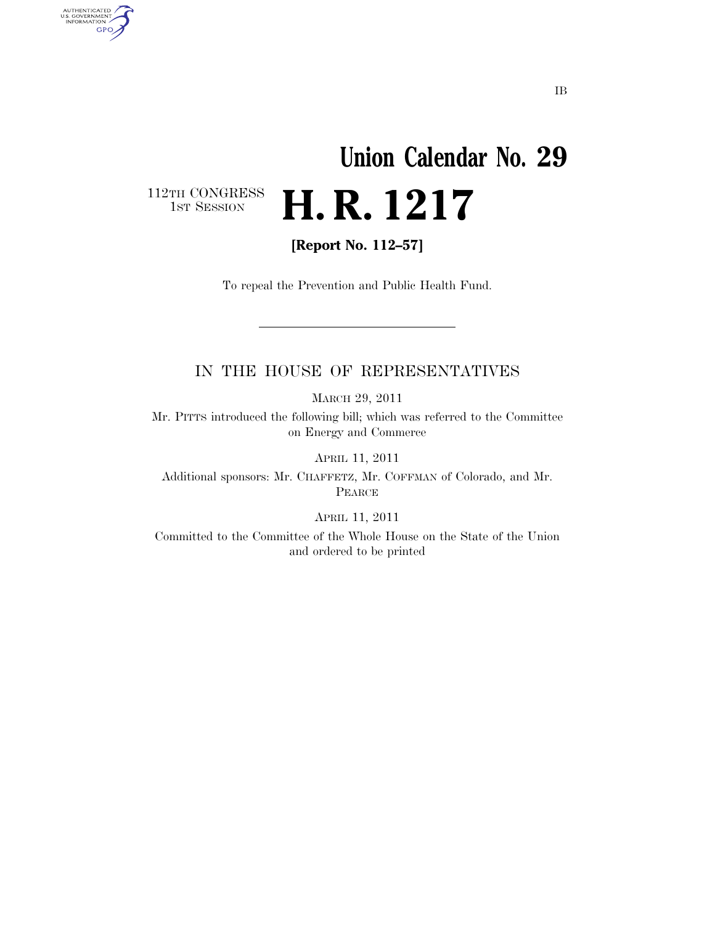## **Union Calendar No. 29**  H. R. 1217

112TH CONGRESS<br>1st Session

AUTHENTICATED<br>U.S. GOVERNMENT<br>INFORMATION GPO

**[Report No. 112–57]** 

To repeal the Prevention and Public Health Fund.

## IN THE HOUSE OF REPRESENTATIVES

MARCH 29, 2011

Mr. PITTS introduced the following bill; which was referred to the Committee on Energy and Commerce

APRIL 11, 2011

Additional sponsors: Mr. CHAFFETZ, Mr. COFFMAN of Colorado, and Mr. PEARCE

APRIL 11, 2011

Committed to the Committee of the Whole House on the State of the Union and ordered to be printed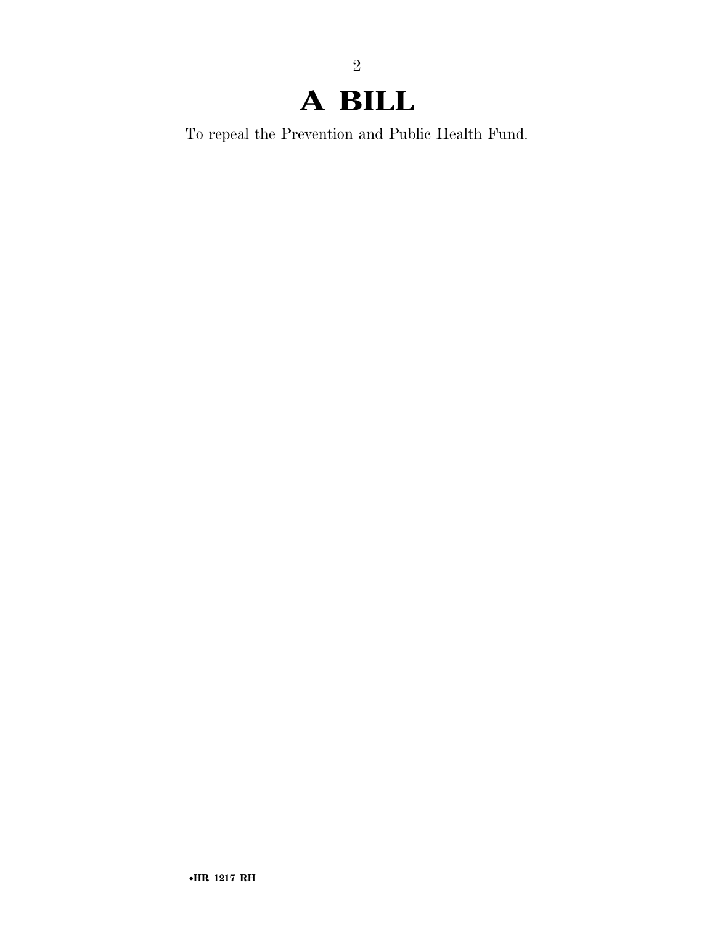## **A BILL**

To repeal the Prevention and Public Health Fund.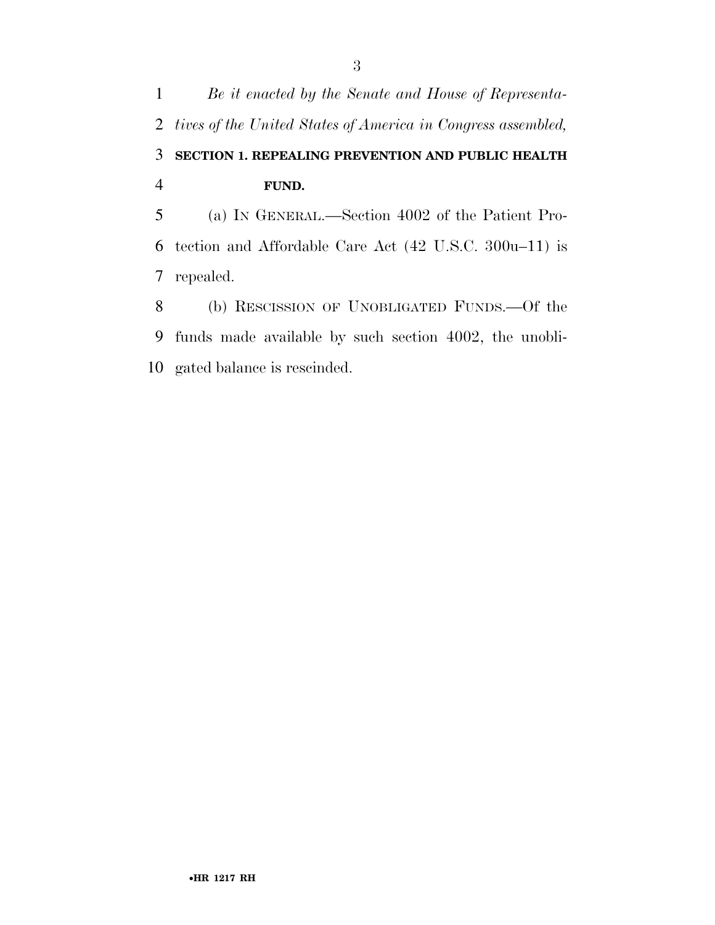*Be it enacted by the Senate and House of Representa- tives of the United States of America in Congress assembled,*  **SECTION 1. REPEALING PREVENTION AND PUBLIC HEALTH FUND.**  (a) IN GENERAL.—Section 4002 of the Patient Pro- tection and Affordable Care Act (42 U.S.C. 300u–11) is repealed. (b) RESCISSION OF UNOBLIGATED FUNDS.—Of the funds made available by such section 4002, the unobli-

gated balance is rescinded.